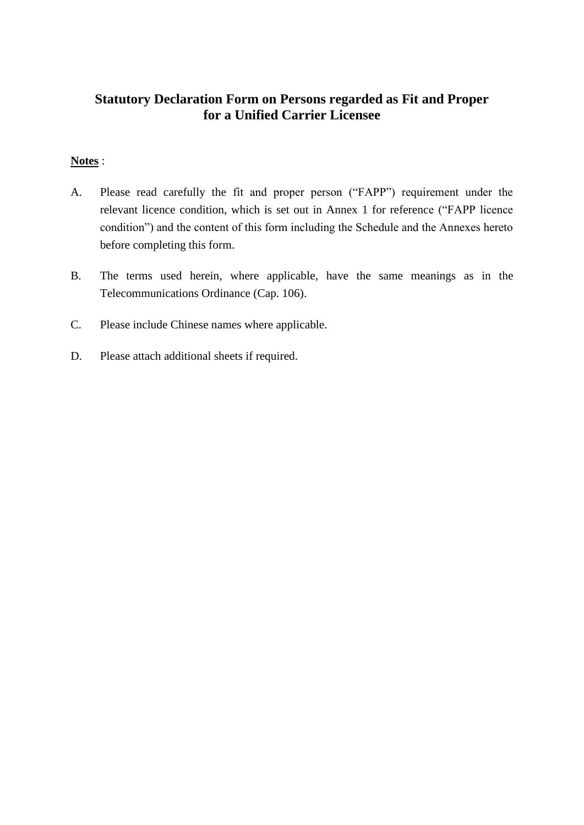# **Statutory Declaration Form on Persons regarded as Fit and Proper for a Unified Carrier Licensee**

## **Notes** :

- A. Please read carefully the fit and proper person ("FAPP") requirement under the relevant licence condition, which is set out in Annex 1 for reference ("FAPP licence condition") and the content of this form including the Schedule and the Annexes hereto before completing this form.
- B. The terms used herein, where applicable, have the same meanings as in the Telecommunications Ordinance (Cap. 106).
- C. Please include Chinese names where applicable.
- D. Please attach additional sheets if required.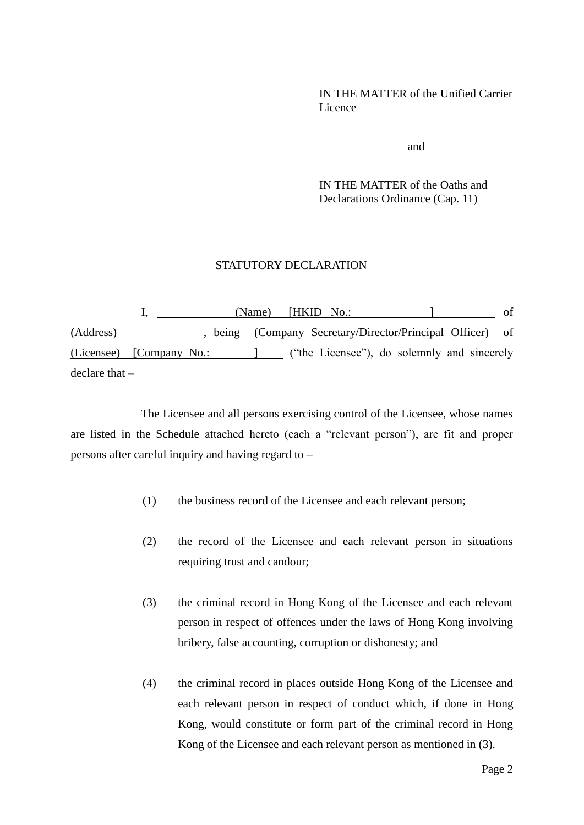### IN THE MATTER of the Unified Carrier **Licence**

and

IN THE MATTER of the Oaths and Declarations Ordinance (Cap. 11)

### STATUTORY DECLARATION

I, (Name) [HKID No.: ] of (Address) being (Company Secretary/Director/Principal Officer) of (Licensee) [Company No.: ] ("the Licensee"), do solemnly and sincerely declare that –

The Licensee and all persons exercising control of the Licensee, whose names are listed in the Schedule attached hereto (each a "relevant person"), are fit and proper persons after careful inquiry and having regard to –

- (1) the business record of the Licensee and each relevant person;
- (2) the record of the Licensee and each relevant person in situations requiring trust and candour;
- (3) the criminal record in Hong Kong of the Licensee and each relevant person in respect of offences under the laws of Hong Kong involving bribery, false accounting, corruption or dishonesty; and
- (4) the criminal record in places outside Hong Kong of the Licensee and each relevant person in respect of conduct which, if done in Hong Kong, would constitute or form part of the criminal record in Hong Kong of the Licensee and each relevant person as mentioned in (3).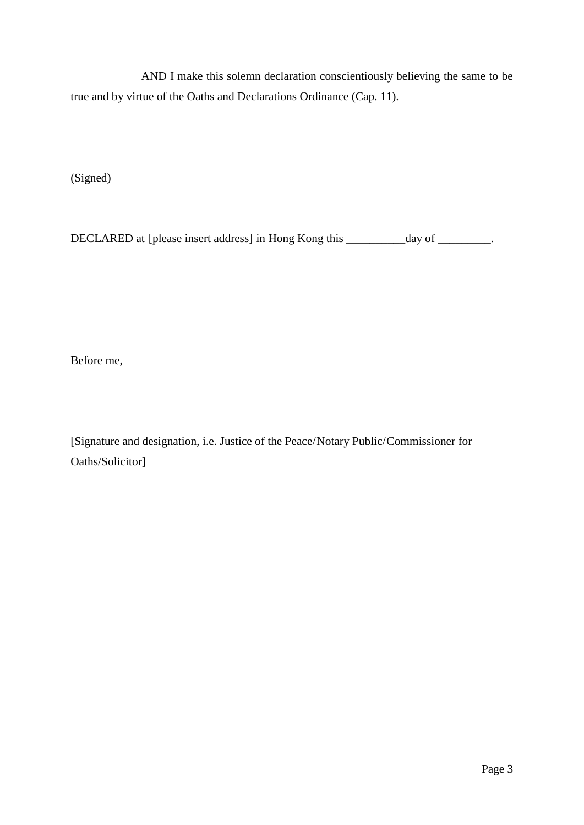AND I make this solemn declaration conscientiously believing the same to be true and by virtue of the Oaths and Declarations Ordinance (Cap. 11).

(Signed)

DECLARED at [please insert address] in Hong Kong this \_\_\_\_\_\_\_\_\_\_day of \_\_\_\_\_\_\_\_\_.

Before me,

[Signature and designation, i.e. Justice of the Peace/Notary Public/Commissioner for Oaths/Solicitor]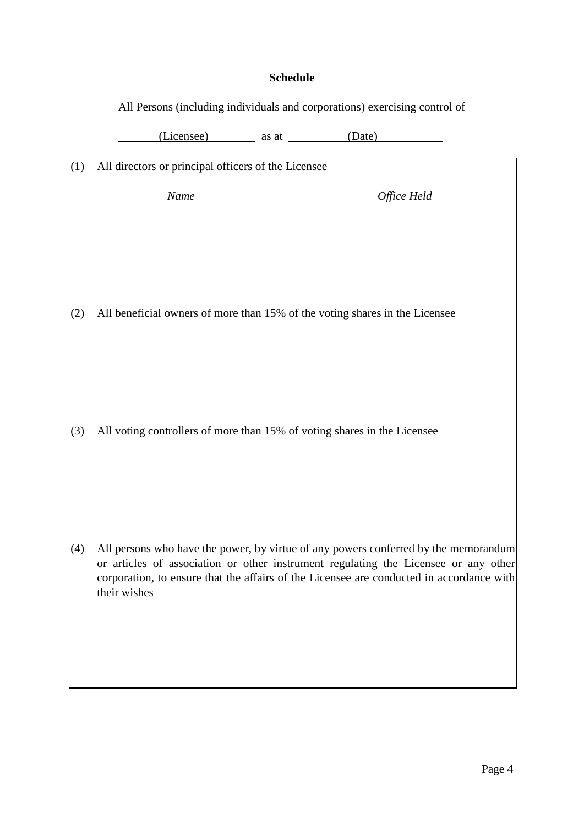## **Schedule**

|     | All Persons (including individuals and corporations) exercising control of                                                                                                                                                                                                             |  |                         |  |
|-----|----------------------------------------------------------------------------------------------------------------------------------------------------------------------------------------------------------------------------------------------------------------------------------------|--|-------------------------|--|
|     |                                                                                                                                                                                                                                                                                        |  | (Licensee) as at (Date) |  |
| (1) | All directors or principal officers of the Licensee                                                                                                                                                                                                                                    |  |                         |  |
|     | <b>Name</b>                                                                                                                                                                                                                                                                            |  | Office Held             |  |
|     |                                                                                                                                                                                                                                                                                        |  |                         |  |
|     |                                                                                                                                                                                                                                                                                        |  |                         |  |
| (2) | All beneficial owners of more than 15% of the voting shares in the Licensee                                                                                                                                                                                                            |  |                         |  |
|     |                                                                                                                                                                                                                                                                                        |  |                         |  |
|     |                                                                                                                                                                                                                                                                                        |  |                         |  |
| (3) | All voting controllers of more than 15% of voting shares in the Licensee                                                                                                                                                                                                               |  |                         |  |
|     |                                                                                                                                                                                                                                                                                        |  |                         |  |
|     |                                                                                                                                                                                                                                                                                        |  |                         |  |
|     |                                                                                                                                                                                                                                                                                        |  |                         |  |
| (4) | All persons who have the power, by virtue of any powers conferred by the memorandum<br>or articles of association or other instrument regulating the Licensee or any other<br>corporation, to ensure that the affairs of the Licensee are conducted in accordance with<br>their wishes |  |                         |  |
|     |                                                                                                                                                                                                                                                                                        |  |                         |  |
|     |                                                                                                                                                                                                                                                                                        |  |                         |  |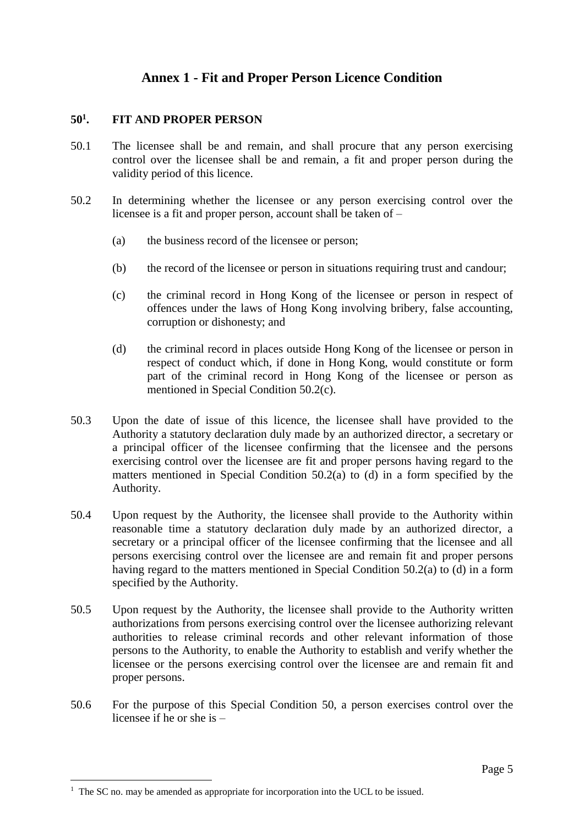# **Annex 1 - Fit and Proper Person Licence Condition**

#### **50<sup>1</sup> . FIT AND PROPER PERSON**

- 50.1 The licensee shall be and remain, and shall procure that any person exercising control over the licensee shall be and remain, a fit and proper person during the validity period of this licence.
- 50.2 In determining whether the licensee or any person exercising control over the licensee is a fit and proper person, account shall be taken of –
	- (a) the business record of the licensee or person;
	- (b) the record of the licensee or person in situations requiring trust and candour;
	- (c) the criminal record in Hong Kong of the licensee or person in respect of offences under the laws of Hong Kong involving bribery, false accounting, corruption or dishonesty; and
	- (d) the criminal record in places outside Hong Kong of the licensee or person in respect of conduct which, if done in Hong Kong, would constitute or form part of the criminal record in Hong Kong of the licensee or person as mentioned in Special Condition 50.2(c).
- 50.3 Upon the date of issue of this licence, the licensee shall have provided to the Authority a statutory declaration duly made by an authorized director, a secretary or a principal officer of the licensee confirming that the licensee and the persons exercising control over the licensee are fit and proper persons having regard to the matters mentioned in Special Condition 50.2(a) to (d) in a form specified by the Authority.
- 50.4 Upon request by the Authority, the licensee shall provide to the Authority within reasonable time a statutory declaration duly made by an authorized director, a secretary or a principal officer of the licensee confirming that the licensee and all persons exercising control over the licensee are and remain fit and proper persons having regard to the matters mentioned in Special Condition 50.2(a) to (d) in a form specified by the Authority.
- 50.5 Upon request by the Authority, the licensee shall provide to the Authority written authorizations from persons exercising control over the licensee authorizing relevant authorities to release criminal records and other relevant information of those persons to the Authority, to enable the Authority to establish and verify whether the licensee or the persons exercising control over the licensee are and remain fit and proper persons.
- 50.6 For the purpose of this Special Condition 50, a person exercises control over the licensee if he or she is –

<u>.</u>

 $1$  The SC no. may be amended as appropriate for incorporation into the UCL to be issued.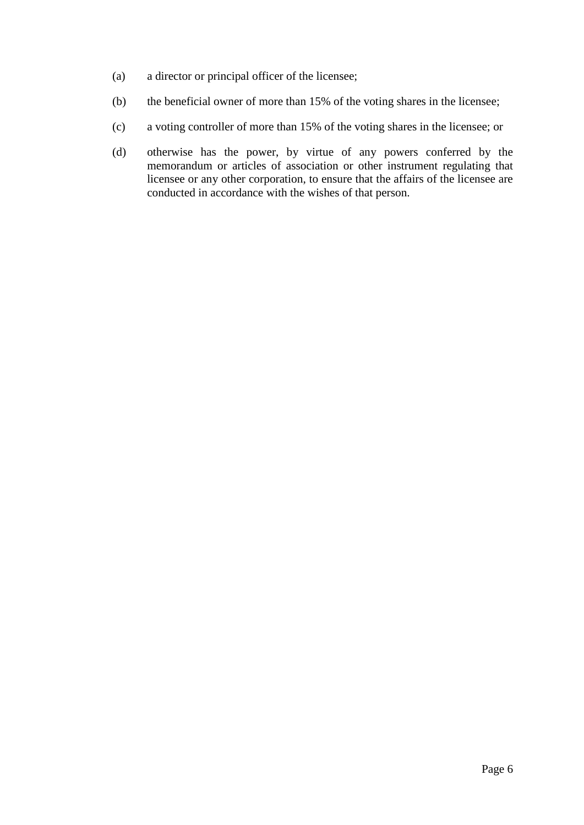- (a) a director or principal officer of the licensee;
- (b) the beneficial owner of more than 15% of the voting shares in the licensee;
- (c) a voting controller of more than 15% of the voting shares in the licensee; or
- (d) otherwise has the power, by virtue of any powers conferred by the memorandum or articles of association or other instrument regulating that licensee or any other corporation, to ensure that the affairs of the licensee are conducted in accordance with the wishes of that person.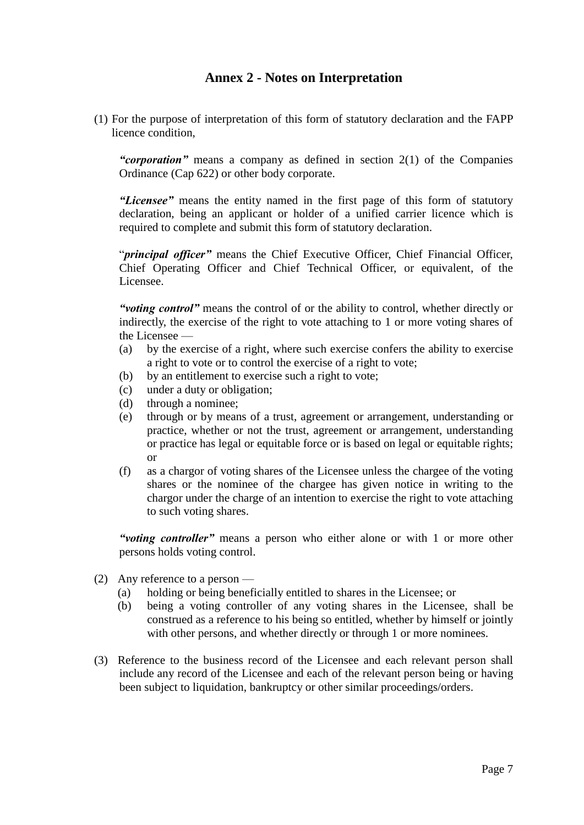## **Annex 2 - Notes on Interpretation**

(1) For the purpose of interpretation of this form of statutory declaration and the FAPP licence condition,

*"corporation"* means a company as defined in section 2(1) of the Companies Ordinance (Cap 622) or other body corporate.

*"Licensee"* means the entity named in the first page of this form of statutory declaration, being an applicant or holder of a unified carrier licence which is required to complete and submit this form of statutory declaration.

"*principal officer"* means the Chief Executive Officer, Chief Financial Officer, Chief Operating Officer and Chief Technical Officer, or equivalent, of the Licensee.

*"voting control"* means the control of or the ability to control, whether directly or indirectly, the exercise of the right to vote attaching to 1 or more voting shares of the Licensee —

- (a) by the exercise of a right, where such exercise confers the ability to exercise a right to vote or to control the exercise of a right to vote;
- (b) by an entitlement to exercise such a right to vote;
- (c) under a duty or obligation;
- (d) through a nominee;
- (e) through or by means of a trust, agreement or arrangement, understanding or practice, whether or not the trust, agreement or arrangement, understanding or practice has legal or equitable force or is based on legal or equitable rights; or
- (f) as a chargor of voting shares of the Licensee unless the chargee of the voting shares or the nominee of the chargee has given notice in writing to the chargor under the charge of an intention to exercise the right to vote attaching to such voting shares.

*"voting controller"* means a person who either alone or with 1 or more other persons holds voting control.

- (2) Any reference to a person
	- (a) holding or being beneficially entitled to shares in the Licensee; or
	- (b) being a voting controller of any voting shares in the Licensee, shall be construed as a reference to his being so entitled, whether by himself or jointly with other persons, and whether directly or through 1 or more nominees.
- (3) Reference to the business record of the Licensee and each relevant person shall include any record of the Licensee and each of the relevant person being or having been subject to liquidation, bankruptcy or other similar proceedings/orders.